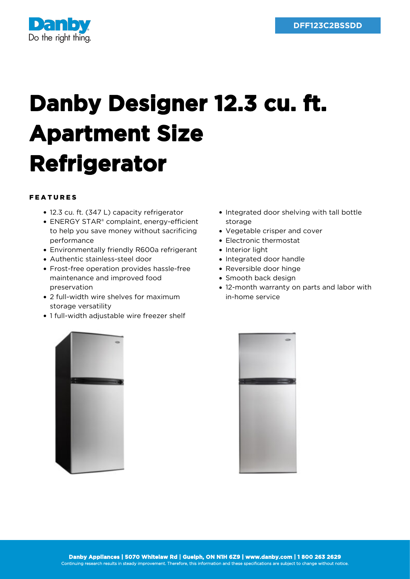

## **Danby Designer 12.3 cu. ft. Apartment Size Refrigerator**

## FEATURES

- 12.3 cu. ft. (347 L) capacity refrigerator
- ENERGY STAR® complaint, energy-efficient to help you save money without sacrificing performance
- Environmentally friendly R600a refrigerant
- Authentic stainless-steel door
- Frost-free operation provides hassle-free maintenance and improved food preservation
- 2 full-width wire shelves for maximum storage versatility
- 1 full-width adjustable wire freezer shelf
- Integrated door shelving with tall bottle storage
- Vegetable crisper and cover
- Electronic thermostat
- Interior light
- Integrated door handle
- Reversible door hinge
- Smooth back design
- 12-month warranty on parts and labor with in-home service